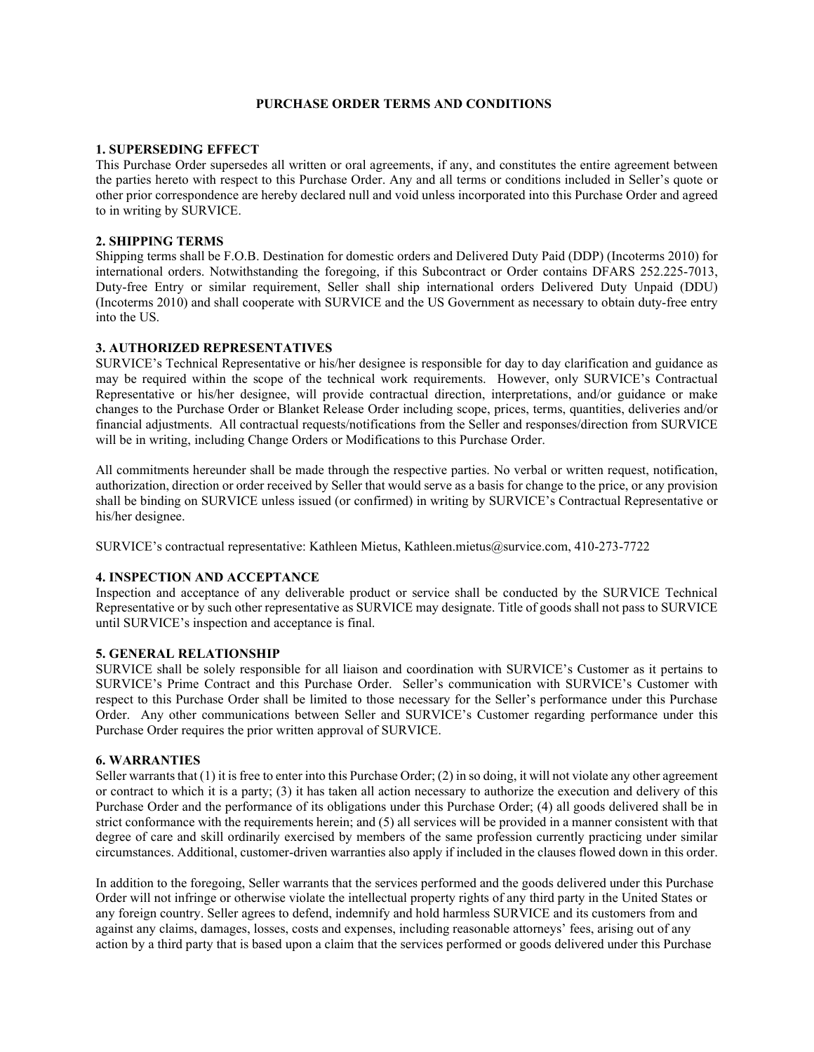#### **PURCHASE ORDER TERMS AND CONDITIONS**

#### **1. SUPERSEDING EFFECT**

This Purchase Order supersedes all written or oral agreements, if any, and constitutes the entire agreement between the parties hereto with respect to this Purchase Order. Any and all terms or conditions included in Seller's quote or other prior correspondence are hereby declared null and void unless incorporated into this Purchase Order and agreed to in writing by SURVICE.

# **2. SHIPPING TERMS**

Shipping terms shall be F.O.B. Destination for domestic orders and Delivered Duty Paid (DDP) (Incoterms 2010) for international orders. Notwithstanding the foregoing, if this Subcontract or Order contains DFARS 252.225-7013, Duty-free Entry or similar requirement, Seller shall ship international orders Delivered Duty Unpaid (DDU) (Incoterms 2010) and shall cooperate with SURVICE and the US Government as necessary to obtain duty-free entry into the US.

#### **3. AUTHORIZED REPRESENTATIVES**

SURVICE's Technical Representative or his/her designee is responsible for day to day clarification and guidance as may be required within the scope of the technical work requirements. However, only SURVICE's Contractual Representative or his/her designee, will provide contractual direction, interpretations, and/or guidance or make changes to the Purchase Order or Blanket Release Order including scope, prices, terms, quantities, deliveries and/or financial adjustments. All contractual requests/notifications from the Seller and responses/direction from SURVICE will be in writing, including Change Orders or Modifications to this Purchase Order.

All commitments hereunder shall be made through the respective parties. No verbal or written request, notification, authorization, direction or order received by Seller that would serve as a basis for change to the price, or any provision shall be binding on SURVICE unless issued (or confirmed) in writing by SURVICE's Contractual Representative or his/her designee.

SURVICE's contractual representative: Kathleen Mietus, Kathleen.mietus@survice.com, 410-273-7722

## **4. INSPECTION AND ACCEPTANCE**

Inspection and acceptance of any deliverable product or service shall be conducted by the SURVICE Technical Representative or by such other representative as SURVICE may designate. Title of goods shall not pass to SURVICE until SURVICE's inspection and acceptance is final.

#### **5. GENERAL RELATIONSHIP**

SURVICE shall be solely responsible for all liaison and coordination with SURVICE's Customer as it pertains to SURVICE's Prime Contract and this Purchase Order. Seller's communication with SURVICE's Customer with respect to this Purchase Order shall be limited to those necessary for the Seller's performance under this Purchase Order. Any other communications between Seller and SURVICE's Customer regarding performance under this Purchase Order requires the prior written approval of SURVICE.

#### **6. WARRANTIES**

Seller warrants that (1) it is free to enter into this Purchase Order; (2) in so doing, it will not violate any other agreement or contract to which it is a party; (3) it has taken all action necessary to authorize the execution and delivery of this Purchase Order and the performance of its obligations under this Purchase Order; (4) all goods delivered shall be in strict conformance with the requirements herein; and (5) all services will be provided in a manner consistent with that degree of care and skill ordinarily exercised by members of the same profession currently practicing under similar circumstances. Additional, customer-driven warranties also apply if included in the clauses flowed down in this order.

In addition to the foregoing, Seller warrants that the services performed and the goods delivered under this Purchase Order will not infringe or otherwise violate the intellectual property rights of any third party in the United States or any foreign country. Seller agrees to defend, indemnify and hold harmless SURVICE and its customers from and against any claims, damages, losses, costs and expenses, including reasonable attorneys' fees, arising out of any action by a third party that is based upon a claim that the services performed or goods delivered under this Purchase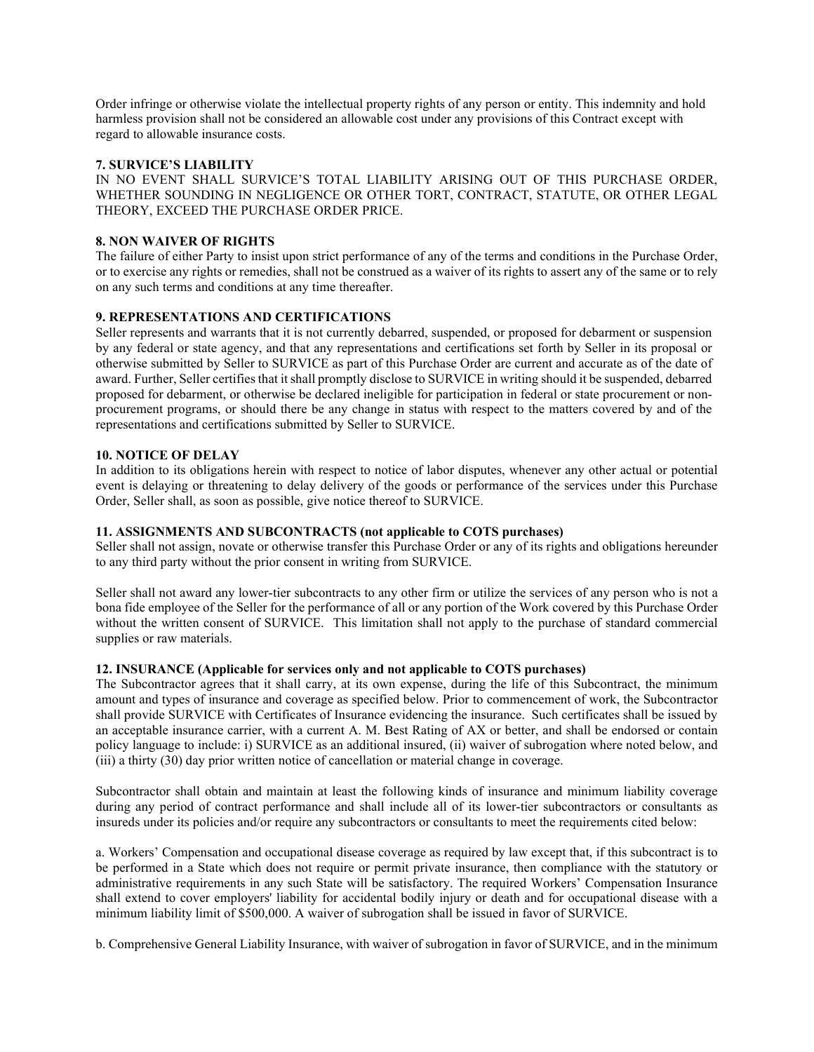Order infringe or otherwise violate the intellectual property rights of any person or entity. This indemnity and hold harmless provision shall not be considered an allowable cost under any provisions of this Contract except with regard to allowable insurance costs.

## **7. SURVICE'S LIABILITY**

IN NO EVENT SHALL SURVICE'S TOTAL LIABILITY ARISING OUT OF THIS PURCHASE ORDER, WHETHER SOUNDING IN NEGLIGENCE OR OTHER TORT, CONTRACT, STATUTE, OR OTHER LEGAL THEORY, EXCEED THE PURCHASE ORDER PRICE.

# **8. NON WAIVER OF RIGHTS**

The failure of either Party to insist upon strict performance of any of the terms and conditions in the Purchase Order, or to exercise any rights or remedies, shall not be construed as a waiver of its rights to assert any of the same or to rely on any such terms and conditions at any time thereafter.

## **9. REPRESENTATIONS AND CERTIFICATIONS**

Seller represents and warrants that it is not currently debarred, suspended, or proposed for debarment or suspension by any federal or state agency, and that any representations and certifications set forth by Seller in its proposal or otherwise submitted by Seller to SURVICE as part of this Purchase Order are current and accurate as of the date of award. Further, Seller certifies that it shall promptly disclose to SURVICE in writing should it be suspended, debarred proposed for debarment, or otherwise be declared ineligible for participation in federal or state procurement or nonprocurement programs, or should there be any change in status with respect to the matters covered by and of the representations and certifications submitted by Seller to SURVICE.

## **10. NOTICE OF DELAY**

In addition to its obligations herein with respect to notice of labor disputes, whenever any other actual or potential event is delaying or threatening to delay delivery of the goods or performance of the services under this Purchase Order, Seller shall, as soon as possible, give notice thereof to SURVICE.

#### **11. ASSIGNMENTS AND SUBCONTRACTS (not applicable to COTS purchases)**

Seller shall not assign, novate or otherwise transfer this Purchase Order or any of its rights and obligations hereunder to any third party without the prior consent in writing from SURVICE.

Seller shall not award any lower-tier subcontracts to any other firm or utilize the services of any person who is not a bona fide employee of the Seller for the performance of all or any portion of the Work covered by this Purchase Order without the written consent of SURVICE. This limitation shall not apply to the purchase of standard commercial supplies or raw materials.

## **12. INSURANCE (Applicable for services only and not applicable to COTS purchases)**

The Subcontractor agrees that it shall carry, at its own expense, during the life of this Subcontract, the minimum amount and types of insurance and coverage as specified below. Prior to commencement of work, the Subcontractor shall provide SURVICE with Certificates of Insurance evidencing the insurance. Such certificates shall be issued by an acceptable insurance carrier, with a current A. M. Best Rating of AX or better, and shall be endorsed or contain policy language to include: i) SURVICE as an additional insured, (ii) waiver of subrogation where noted below, and (iii) a thirty (30) day prior written notice of cancellation or material change in coverage.

Subcontractor shall obtain and maintain at least the following kinds of insurance and minimum liability coverage during any period of contract performance and shall include all of its lower-tier subcontractors or consultants as insureds under its policies and/or require any subcontractors or consultants to meet the requirements cited below:

a. Workers' Compensation and occupational disease coverage as required by law except that, if this subcontract is to be performed in a State which does not require or permit private insurance, then compliance with the statutory or administrative requirements in any such State will be satisfactory. The required Workers' Compensation Insurance shall extend to cover employers' liability for accidental bodily injury or death and for occupational disease with a minimum liability limit of \$500,000. A waiver of subrogation shall be issued in favor of SURVICE.

b. Comprehensive General Liability Insurance, with waiver of subrogation in favor of SURVICE, and in the minimum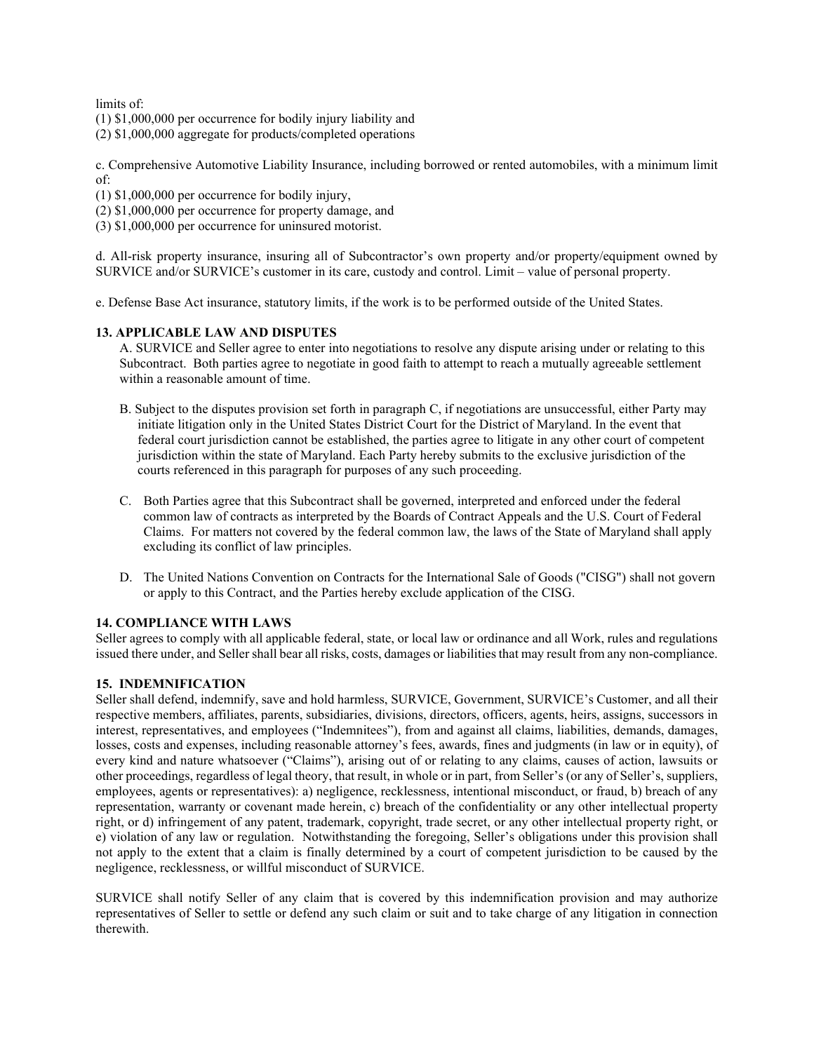limits of:

- (1) \$1,000,000 per occurrence for bodily injury liability and
- (2) \$1,000,000 aggregate for products/completed operations

c. Comprehensive Automotive Liability Insurance, including borrowed or rented automobiles, with a minimum limit of:

- (1) \$1,000,000 per occurrence for bodily injury,
- (2) \$1,000,000 per occurrence for property damage, and
- (3) \$1,000,000 per occurrence for uninsured motorist.

d. All-risk property insurance, insuring all of Subcontractor's own property and/or property/equipment owned by SURVICE and/or SURVICE's customer in its care, custody and control. Limit – value of personal property.

e. Defense Base Act insurance, statutory limits, if the work is to be performed outside of the United States.

## **13. APPLICABLE LAW AND DISPUTES**

A. SURVICE and Seller agree to enter into negotiations to resolve any dispute arising under or relating to this Subcontract. Both parties agree to negotiate in good faith to attempt to reach a mutually agreeable settlement within a reasonable amount of time.

- B. Subject to the disputes provision set forth in paragraph C, if negotiations are unsuccessful, either Party may initiate litigation only in the United States District Court for the District of Maryland. In the event that federal court jurisdiction cannot be established, the parties agree to litigate in any other court of competent jurisdiction within the state of Maryland. Each Party hereby submits to the exclusive jurisdiction of the courts referenced in this paragraph for purposes of any such proceeding.
- C. Both Parties agree that this Subcontract shall be governed, interpreted and enforced under the federal common law of contracts as interpreted by the Boards of Contract Appeals and the U.S. Court of Federal Claims. For matters not covered by the federal common law, the laws of the State of Maryland shall apply excluding its conflict of law principles.
- D. The United Nations Convention on Contracts for the International Sale of Goods ("CISG") shall not govern or apply to this Contract, and the Parties hereby exclude application of the CISG.

## **14. COMPLIANCE WITH LAWS**

Seller agrees to comply with all applicable federal, state, or local law or ordinance and all Work, rules and regulations issued there under, and Seller shall bear all risks, costs, damages or liabilities that may result from any non-compliance.

## **15. INDEMNIFICATION**

Seller shall defend, indemnify, save and hold harmless, SURVICE, Government, SURVICE's Customer, and all their respective members, affiliates, parents, subsidiaries, divisions, directors, officers, agents, heirs, assigns, successors in interest, representatives, and employees ("Indemnitees"), from and against all claims, liabilities, demands, damages, losses, costs and expenses, including reasonable attorney's fees, awards, fines and judgments (in law or in equity), of every kind and nature whatsoever ("Claims"), arising out of or relating to any claims, causes of action, lawsuits or other proceedings, regardless of legal theory, that result, in whole or in part, from Seller's (or any of Seller's, suppliers, employees, agents or representatives): a) negligence, recklessness, intentional misconduct, or fraud, b) breach of any representation, warranty or covenant made herein, c) breach of the confidentiality or any other intellectual property right, or d) infringement of any patent, trademark, copyright, trade secret, or any other intellectual property right, or e) violation of any law or regulation. Notwithstanding the foregoing, Seller's obligations under this provision shall not apply to the extent that a claim is finally determined by a court of competent jurisdiction to be caused by the negligence, recklessness, or willful misconduct of SURVICE.

SURVICE shall notify Seller of any claim that is covered by this indemnification provision and may authorize representatives of Seller to settle or defend any such claim or suit and to take charge of any litigation in connection therewith.